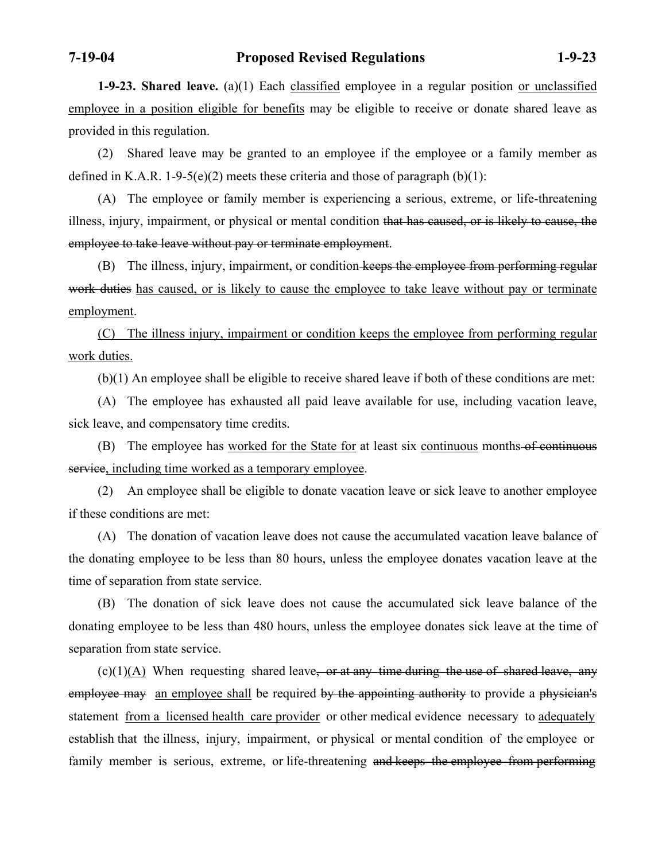**1-9-23. Shared leave.** (a)(1) Each classified employee in a regular position or unclassified employee in a position eligible for benefits may be eligible to receive or donate shared leave as provided in this regulation.

 (2) Shared leave may be granted to an employee if the employee or a family member as defined in K.A.R. 1-9-5(e)(2) meets these criteria and those of paragraph  $(b)(1)$ :

 (A) The employee or family member is experiencing a serious, extreme, or life-threatening illness, injury, impairment, or physical or mental condition that has caused, or is likely to cause, the employee to take leave without pay or terminate employment.

(B) The illness, injury, impairment, or condition keeps the employee from performing regular work duties has caused, or is likely to cause the employee to take leave without pay or terminate employment.

 (C) The illness injury, impairment or condition keeps the employee from performing regular work duties.

(b)(1) An employee shall be eligible to receive shared leave if both of these conditions are met:

 (A) The employee has exhausted all paid leave available for use, including vacation leave, sick leave, and compensatory time credits.

(B) The employee has worked for the State for at least six continuous months of continuous service, including time worked as a temporary employee.

 (2) An employee shall be eligible to donate vacation leave or sick leave to another employee if these conditions are met:

 (A) The donation of vacation leave does not cause the accumulated vacation leave balance of the donating employee to be less than 80 hours, unless the employee donates vacation leave at the time of separation from state service.

 (B) The donation of sick leave does not cause the accumulated sick leave balance of the donating employee to be less than 480 hours, unless the employee donates sick leave at the time of separation from state service.

 $(c)(1)(A)$  When requesting shared leave<del>, or at any time during the use of shared leave, any</del> employee may an employee shall be required by the appointing authority to provide a physician's statement from a licensed health care provider or other medical evidence necessary to adequately establish that the illness, injury, impairment, or physical or mental condition of the employee or family member is serious, extreme, or life-threatening and keeps the employee from performing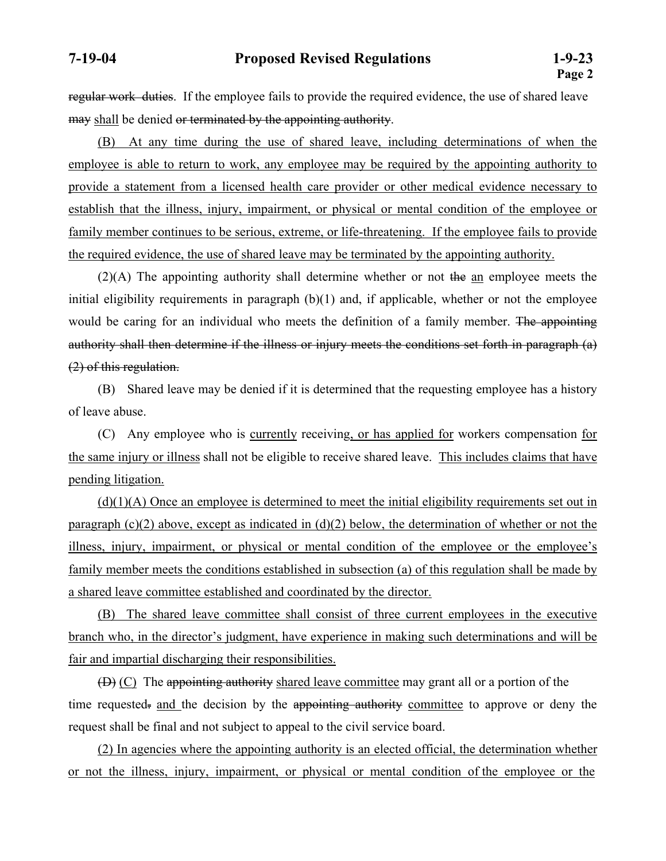regular work duties. If the employee fails to provide the required evidence, the use of shared leave may shall be denied or terminated by the appointing authority.

 (B) At any time during the use of shared leave, including determinations of when the employee is able to return to work, any employee may be required by the appointing authority to provide a statement from a licensed health care provider or other medical evidence necessary to establish that the illness, injury, impairment, or physical or mental condition of the employee or family member continues to be serious, extreme, or life-threatening. If the employee fails to provide the required evidence, the use of shared leave may be terminated by the appointing authority.

 (2)(A) The appointing authority shall determine whether or not the an employee meets the initial eligibility requirements in paragraph (b)(1) and, if applicable, whether or not the employee would be caring for an individual who meets the definition of a family member. The appointing authority shall then determine if the illness or injury meets the conditions set forth in paragraph (a) (2) of this regulation.

 (B) Shared leave may be denied if it is determined that the requesting employee has a history of leave abuse.

 (C) Any employee who is currently receiving, or has applied for workers compensation for the same injury or illness shall not be eligible to receive shared leave. This includes claims that have pending litigation.

 $(d)(1)(A)$  Once an employee is determined to meet the initial eligibility requirements set out in paragraph (c)(2) above, except as indicated in (d)(2) below, the determination of whether or not the illness, injury, impairment, or physical or mental condition of the employee or the employee's family member meets the conditions established in subsection (a) of this regulation shall be made by a shared leave committee established and coordinated by the director.

(B) The shared leave committee shall consist of three current employees in the executive branch who, in the director's judgment, have experience in making such determinations and will be fair and impartial discharging their responsibilities.

(D) (C) The appointing authority shared leave committee may grant all or a portion of the time requested. and the decision by the appointing authority committee to approve or deny the request shall be final and not subject to appeal to the civil service board.

 (2) In agencies where the appointing authority is an elected official, the determination whether or not the illness, injury, impairment, or physical or mental condition of the employee or the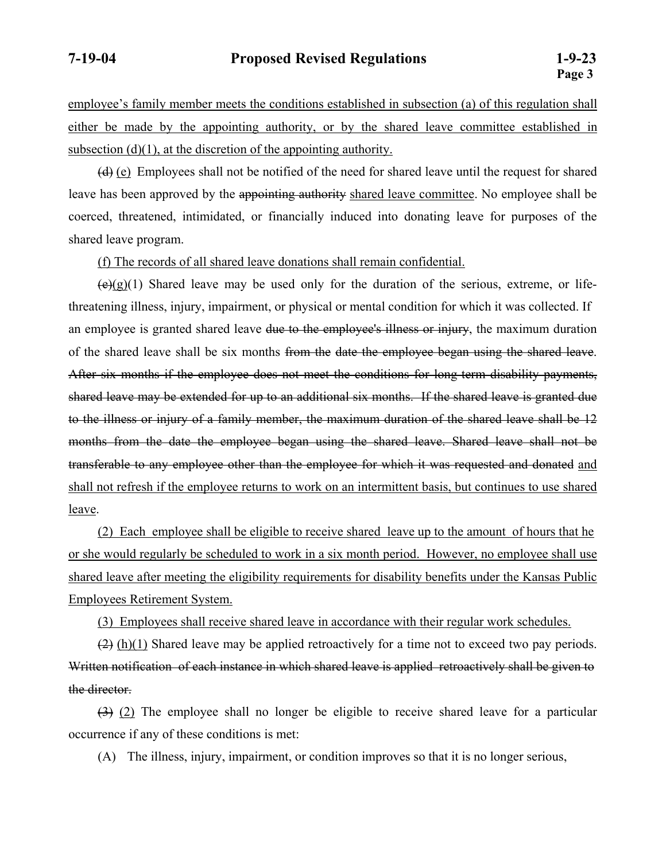employee's family member meets the conditions established in subsection (a) of this regulation shall either be made by the appointing authority, or by the shared leave committee established in subsection  $(d)(1)$ , at the discretion of the appointing authority.

 $(d)$  (e) Employees shall not be notified of the need for shared leave until the request for shared leave has been approved by the appointing authority shared leave committee. No employee shall be coerced, threatened, intimidated, or financially induced into donating leave for purposes of the shared leave program.

(f) The records of all shared leave donations shall remain confidential.

 $(\theta)(g)(1)$  Shared leave may be used only for the duration of the serious, extreme, or lifethreatening illness, injury, impairment, or physical or mental condition for which it was collected. If an employee is granted shared leave due to the employee's illness or injury, the maximum duration of the shared leave shall be six months from the date the employee began using the shared leave. After six months if the employee does not meet the conditions for long-term disability payments, shared leave may be extended for up to an additional six months. If the shared leave is granted due to the illness or injury of a family member, the maximum duration of the shared leave shall be 12 months from the date the employee began using the shared leave. Shared leave shall not be transferable to any employee other than the employee for which it was requested and donated and shall not refresh if the employee returns to work on an intermittent basis, but continues to use shared leave.

 (2) Each employee shall be eligible to receive shared leave up to the amount of hours that he or she would regularly be scheduled to work in a six month period. However, no employee shall use shared leave after meeting the eligibility requirements for disability benefits under the Kansas Public Employees Retirement System.

(3) Employees shall receive shared leave in accordance with their regular work schedules.

 $(2)$  (h)(1) Shared leave may be applied retroactively for a time not to exceed two pay periods. Written notification of each instance in which shared leave is applied retroactively shall be given to the director.

(3) (2) The employee shall no longer be eligible to receive shared leave for a particular occurrence if any of these conditions is met:

(A) The illness, injury, impairment, or condition improves so that it is no longer serious,